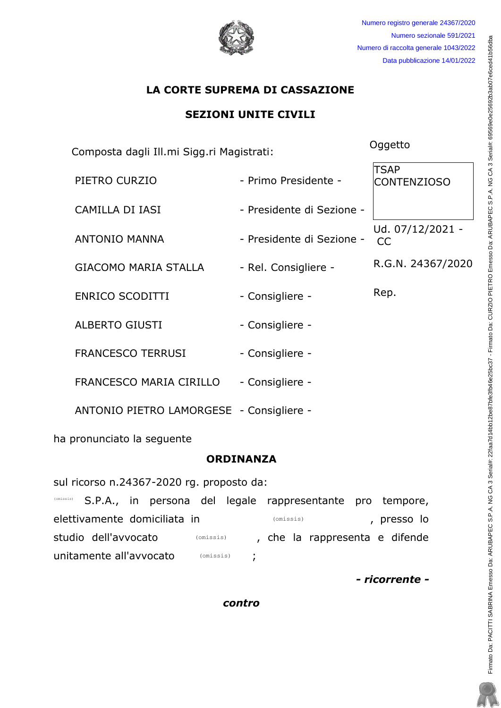Numero registro generale 24367/2020 Numero sezionale 591/2021 Numero di raccolta generale 1043/2022 Data pubblicazione 14/01/2022

# LA CORTE SUPREMA DI CASSAZIONE

# SEZIONI UNITE CIVILI

Extemposta dagli Ill.mi Sigg.ri Magistrati: Composta dagli Ill.mi Sigg.ri Magistrati:

RKGVTQ!EWT\KQ! .!Rtkoq!Rtgukfgpvg!.! **TSAP** CONTENZIOSO ECOKNNC!FK!KCUK! .!Rtgukfgpvg!fk!Ug|kqpg!.! ANTONIO MANNA **Example:** Presidente di Sezione -Ud. 07/12/2021 -CC GIACOMO MARIA STALLA - Rel. Consigliere - R.G.N. 24367/2020 GPTKEQ!UEQFKVVK! .!Eqpukinkgtg!.! Tgr/! CNDGTVQ!IKWUVK! .!Eqpukinkgtg!.! FRANCESCO TERRUSI - Consigliere -FRANCESCO MARIA CIRILLO - Consigliere -ANTONIO PIETRO LAMORGESE - Consigliere -

ha pronunciato la seguente

## ORDINANZA

sul ricorso n.24367-2020 rq. proposto da:

S.P.A., in persona del legale rappresentante pro tempore, elettivamente domiciliata in *(omissis)* (omissis) and the presso lo studio dell'avvocato ( ( cmissis) , che la rappresenta e difende unitamente all'avvocato (omissis) (omissis) (omissis) (omissis)

- ricorrente -

contro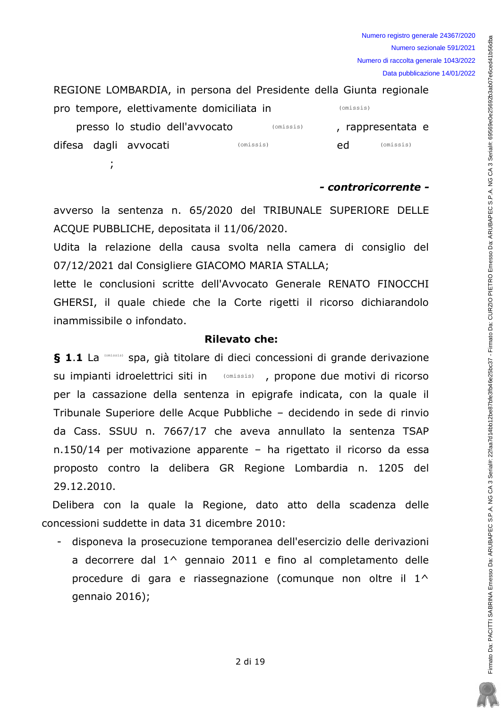

## - controricorrente -

avverso la sentenza n. 65/2020 del TRIBUNALE SUPERIORE DELLE ACOUE PUBBLICHE, depositata il 11/06/2020.

Udita la relazione della causa svolta nella camera di consiglio del 07/12/2021 dal Consigliere GIACOMO MARIA STALLA;

lette le conclusioni scritte dell'Avvocato Generale RENATO FINOCCHI GHERSI, il quale chiede che la Corte rigetti il ricorso dichiarandolo inammissibile o infondato.

## **Rilevato che:**

§ 1.1 La (Conissis) spa, già titolare di dieci concessioni di grande derivazione su impianti idroelettrici siti in (omissis) , propone due motivi di ricorso per la cassazione della sentenza in epigrafe indicata, con la quale il Tribunale Superiore delle Acque Pubbliche – decidendo in sede di rinvio da Cass. SSUU n. 7667/17 che aveva annullato la sentenza TSAP n.150/14 per motivazione apparente - ha rigettato il ricorso da essa proposto contro la delibera GR Regione Lombardia n. 1205 del 29.12.2010.

Delibera con la quale la Regione, dato atto della scadenza delle concessioni suddette in data 31 dicembre 2010:

- disponeva la prosecuzione temporanea dell'esercizio delle derivazioni a decorrere dal 1^ gennaio 2011 e fino al completamento delle procedure di gara e riassegnazione (comunque non oltre il 1^ gennaio 2016);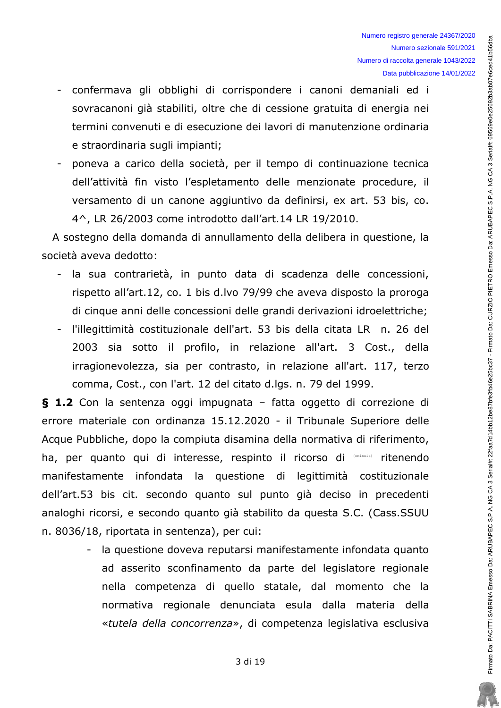- confermava gli obblighi di corrispondere i canoni demaniali ed i  $\sim$ sovracanoni già stabiliti, oltre che di cessione gratuita di energia nei termini convenuti e di esecuzione dei lavori di manutenzione ordinaria e straordinaria sugli impianti;
- poneva a carico della società, per il tempo di continuazione tecnica dell'attività fin visto l'espletamento delle menzionate procedure, il versamento di un canone aggiuntivo da definirsi, ex art. 53 bis, co. 4^, LR 26/2003 come introdotto dall'art.14 LR 19/2010.

A sostegno della domanda di annullamento della delibera in questione, la società aveva dedotto:

- la sua contrarietà, in punto data di scadenza delle concessioni, rispetto all'art.12, co. 1 bis d.lvo 79/99 che aveva disposto la proroga di cinque anni delle concessioni delle grandi derivazioni idroelettriche;
- l'illegittimità costituzionale dell'art. 53 bis della citata LR n. 26 del 2003 sia sotto il profilo, in relazione all'art. 3 Cost., della irragionevolezza, sia per contrasto, in relazione all'art. 117, terzo comma, Cost., con l'art. 12 del citato d.lgs. n. 79 del 1999.

§ 1.2 Con la sentenza oggi impugnata - fatta oggetto di correzione di errore materiale con ordinanza 15.12.2020 - il Tribunale Superiore delle Acque Pubbliche, dopo la compiuta disamina della normativa di riferimento, ha, per quanto qui di interesse, respinto il ricorso di (CTRISSES) ritenendo manifestamente infondata la questione di legittimità costituzionale dell'art.53 bis cit. secondo quanto sul punto già deciso in precedenti analoghi ricorsi, e secondo quanto già stabilito da questa S.C. (Cass.SSUU n. 8036/18, riportata in sentenza), per cui:

> - la questione doveva reputarsi manifestamente infondata quanto ad asserito sconfinamento da parte del legislatore regionale nella competenza di quello statale, dal momento che la normativa regionale denunciata esula dalla materia della «tutela della concorrenza», di competenza legislativa esclusiva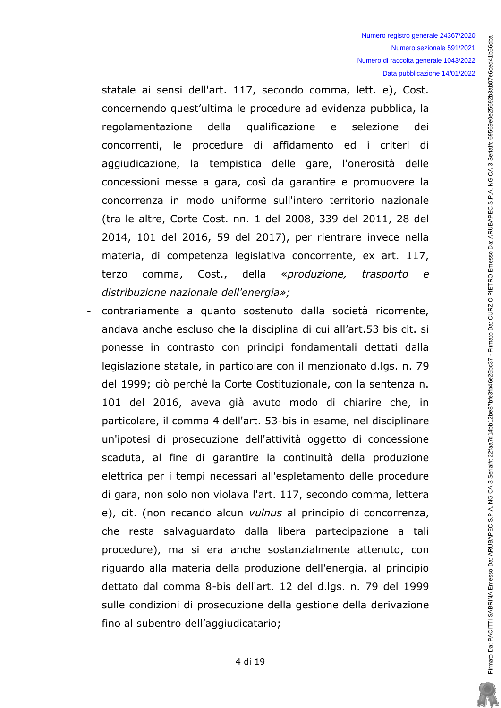statale ai sensi dell'art. 117, secondo comma, lett. e), Cost. concernendo quest'ultima le procedure ad evidenza pubblica, la qualificazione selezione regolamentazione della e dei concorrenti, le procedure di affidamento ed i criteri di aggiudicazione, la tempistica delle gare, l'onerosità delle concessioni messe a gara, così da garantire e promuovere la concorrenza in modo uniforme sull'intero territorio nazionale (tra le altre, Corte Cost. nn. 1 del 2008, 339 del 2011, 28 del 2014, 101 del 2016, 59 del 2017), per rientrare invece nella materia, di competenza legislativa concorrente, ex art. 117, comma, Cost., «produzione, terzo della trasporto  $\epsilon$ distribuzione nazionale dell'energia»:

contrariamente a quanto sostenuto dalla società ricorrente, andava anche escluso che la disciplina di cui all'art.53 bis cit. si ponesse in contrasto con principi fondamentali dettati dalla legislazione statale, in particolare con il menzionato d.lgs. n. 79 del 1999; ciò perchè la Corte Costituzionale, con la sentenza n. 101 del 2016, aveva già avuto modo di chiarire che, in particolare, il comma 4 dell'art. 53-bis in esame, nel disciplinare un'ipotesi di prosecuzione dell'attività oggetto di concessione scaduta, al fine di garantire la continuità della produzione elettrica per i tempi necessari all'espletamento delle procedure di gara, non solo non violava l'art. 117, secondo comma, lettera e), cit. (non recando alcun vulnus al principio di concorrenza, che resta salvaguardato dalla libera partecipazione a tali procedure), ma si era anche sostanzialmente attenuto, con riguardo alla materia della produzione dell'energia, al principio dettato dal comma 8-bis dell'art. 12 del d.lgs. n. 79 del 1999 sulle condizioni di prosecuzione della gestione della derivazione fino al subentro dell'aggiudicatario;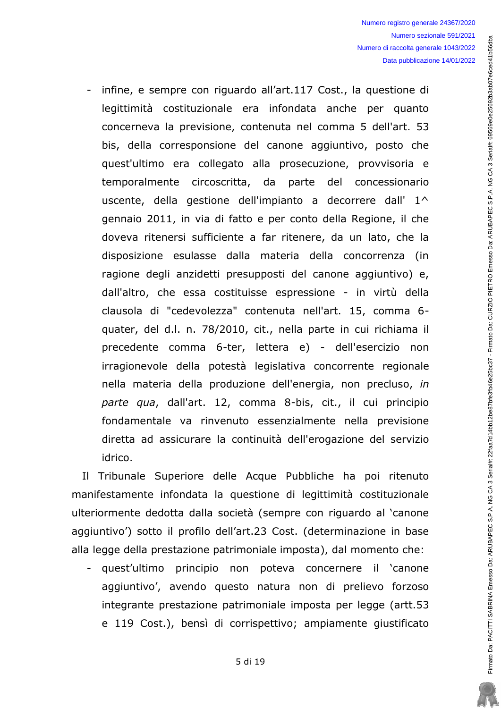infine, e sempre con riguardo all'art.117 Cost., la questione di legittimità costituzionale era infondata anche per quanto concerneva la previsione, contenuta nel comma 5 dell'art. 53 bis, della corresponsione del canone aggiuntivo, posto che quest'ultimo era collegato alla prosecuzione, provvisoria e temporalmente circoscritta, da parte del concessionario uscente, della gestione dell'impianto a decorrere dall' 1^ gennaio 2011, in via di fatto e per conto della Regione, il che doveva ritenersi sufficiente a far ritenere, da un lato, che la disposizione esulasse dalla materia della concorrenza (in ragione degli anzidetti presupposti del canone aggiuntivo) e, dall'altro, che essa costituisse espressione - in virtù della clausola di "cedevolezza" contenuta nell'art. 15, comma 6quater, del d.l. n. 78/2010, cit., nella parte in cui richiama il precedente comma 6-ter, lettera e) - dell'esercizio non irragionevole della potestà legislativa concorrente regionale nella materia della produzione dell'energia, non precluso, in parte qua, dall'art. 12, comma 8-bis, cit., il cui principio fondamentale va rinvenuto essenzialmente nella previsione diretta ad assicurare la continuità dell'erogazione del servizio idrico.

Il Tribunale Superiore delle Acque Pubbliche ha poi ritenuto manifestamente infondata la questione di legittimità costituzionale ulteriormente dedotta dalla società (sempre con riguardo al 'canone aggiuntivo') sotto il profilo dell'art.23 Cost. (determinazione in base alla legge della prestazione patrimoniale imposta), dal momento che:

- quest'ultimo principio non poteva concernere il canone aggiuntivo', avendo questo natura non di prelievo forzoso integrante prestazione patrimoniale imposta per legge (artt.53 e 119 Cost.), bensì di corrispettivo; ampiamente giustificato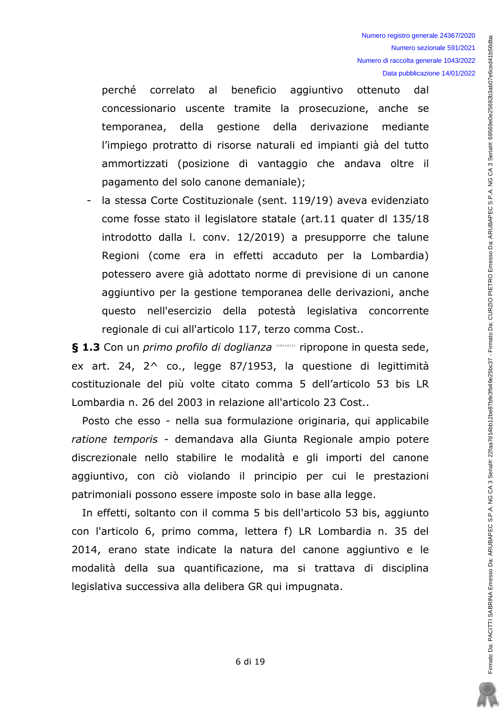correlato al beneficio aggiuntivo ottenuto perché dal concessionario uscente tramite la prosecuzione, anche se gestione della derivazione mediante temporanea, della l'impiego protratto di risorse naturali ed impianti già del tutto ammortizzati (posizione di vantaggio che andava oltre il pagamento del solo canone demaniale);

la stessa Corte Costituzionale (sent. 119/19) aveva evidenziato come fosse stato il legislatore statale (art.11 quater dl 135/18 introdotto dalla I. conv. 12/2019) a presupporre che talune Regioni (come era in effetti accaduto per la Lombardia) potessero avere già adottato norme di previsione di un canone aggiuntivo per la gestione temporanea delle derivazioni, anche questo nell'esercizio della potestà legislativa concorrente regionale di cui all'articolo 117, terzo comma Cost..

§ 1.3 Con un primo profilo di doglianza (pnissis) ripropone in questa sede, ex art. 24,  $2^{\wedge}$  co., legge 87/1953, la questione di legittimità costituzionale del più volte citato comma 5 dell'articolo 53 bis LR Lombardia n. 26 del 2003 in relazione all'articolo 23 Cost..

Posto che esso - nella sua formulazione originaria, qui applicabile ratione temporis - demandava alla Giunta Regionale ampio potere discrezionale nello stabilire le modalità e gli importi del canone aggiuntivo, con ciò violando il principio per cui le prestazioni patrimoniali possono essere imposte solo in base alla legge.

In effetti, soltanto con il comma 5 bis dell'articolo 53 bis, aggiunto con l'articolo 6, primo comma, lettera f) LR Lombardia n. 35 del 2014, erano state indicate la natura del canone aggiuntivo e le modalità della sua quantificazione, ma si trattava di disciplina legislativa successiva alla delibera GR qui impugnata.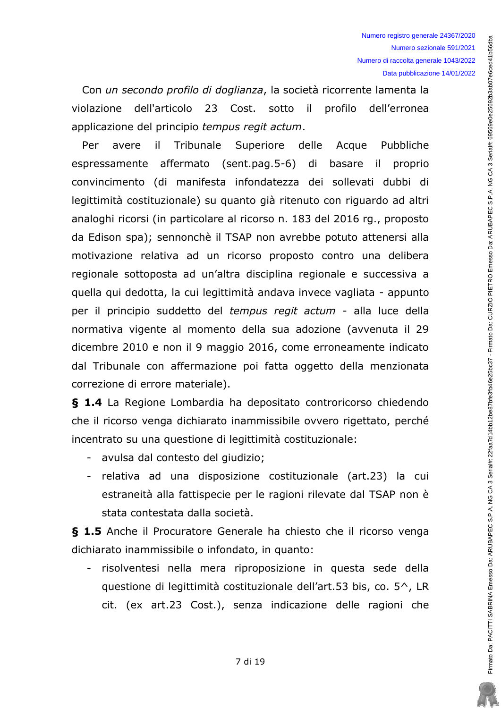Con un secondo profilo di doglianza, la società ricorrente lamenta la violazione dell'articolo 23 Cost. sotto il profilo dell'erronea applicazione del principio tempus regit actum.

Per avere  $\mathbf{ii}$ Tribunale Superiore delle Acque Pubbliche espressamente affermato (sent.pag.5-6) di basare il proprio convincimento (di manifesta infondatezza dei sollevati dubbi di legittimità costituzionale) su quanto già ritenuto con riguardo ad altri analoghi ricorsi (in particolare al ricorso n. 183 del 2016 rg., proposto da Edison spa); sennonchè il TSAP non avrebbe potuto attenersi alla motivazione relativa ad un ricorso proposto contro una delibera regionale sottoposta ad un'altra disciplina regionale e successiva a quella qui dedotta, la cui legittimità andava invece vagliata - appunto per il principio suddetto del tempus regit actum - alla luce della normativa vigente al momento della sua adozione (avvenuta il 29 dicembre 2010 e non il 9 maggio 2016, come erroneamente indicato dal Tribunale con affermazione poi fatta oggetto della menzionata correzione di errore materiale).

§ 1.4 La Regione Lombardia ha depositato controricorso chiedendo che il ricorso venga dichiarato inammissibile ovvero rigettato, perché incentrato su una questione di legittimità costituzionale:

- avulsa dal contesto del giudizio;
- relativa ad una disposizione costituzionale (art.23) la cui estraneità alla fattispecie per le ragioni rilevate dal TSAP non è stata contestata dalla società.

§ 1.5 Anche il Procuratore Generale ha chiesto che il ricorso venga dichiarato inammissibile o infondato, in quanto:

- risolventesi nella mera riproposizione in questa sede della questione di legittimità costituzionale dell'art.53 bis, co. 5<sup>^</sup>, LR cit. (ex art.23 Cost.), senza indicazione delle ragioni che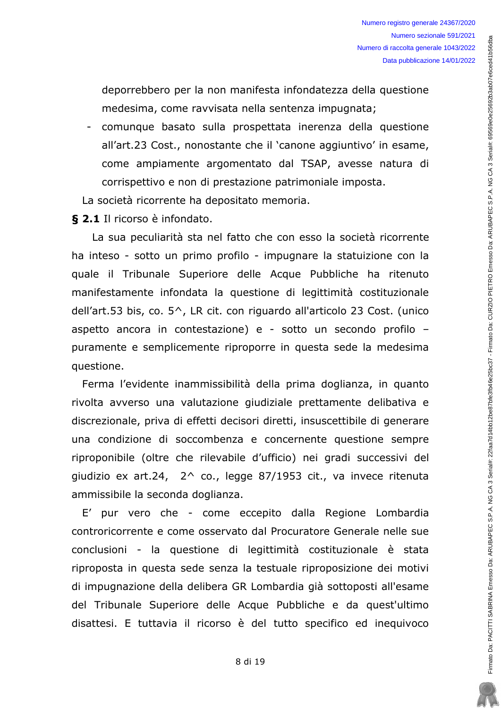deporrebbero per la non manifesta infondatezza della questione medesima, come ravvisata nella sentenza impugnata;

- comunque basato sulla prospettata inerenza della questione all'art.23 Cost., nonostante che il 'canone aggiuntivo' in esame, come ampiamente argomentato dal TSAP, avesse natura di corrispettivo e non di prestazione patrimoniale imposta.

La società ricorrente ha depositato memoria.

§ 2.1 Il ricorso è infondato.

La sua peculiarità sta nel fatto che con esso la società ricorrente ha inteso - sotto un primo profilo - impugnare la statuizione con la quale il Tribunale Superiore delle Acque Pubbliche ha ritenuto manifestamente infondata la questione di legittimità costituzionale dell'art.53 bis, co.  $5^{\wedge}$ , LR cit. con riguardo all'articolo 23 Cost. (unico aspetto ancora in contestazione) e - sotto un secondo profilo puramente e semplicemente riproporre in questa sede la medesima questione.

Ferma l'evidente inammissibilità della prima doglianza, in quanto rivolta avverso una valutazione giudiziale prettamente delibativa e discrezionale, priva di effetti decisori diretti, insuscettibile di generare una condizione di soccombenza e concernente questione sempre riproponibile (oltre che rilevabile d'ufficio) nei gradi successivi del giudizio ex art.24,  $2^{\wedge}$  co., legge 87/1953 cit., va invece ritenuta ammissibile la seconda doglianza.

E' pur vero che - come eccepito dalla Regione Lombardia controricorrente e come osservato dal Procuratore Generale nelle sue conclusioni - la questione di legittimità costituzionale è stata riproposta in questa sede senza la testuale riproposizione dei motivi di impugnazione della delibera GR Lombardia già sottoposti all'esame del Tribunale Superiore delle Acque Pubbliche e da quest'ultimo disattesi. E tuttavia il ricorso è del tutto specifico ed inequivoco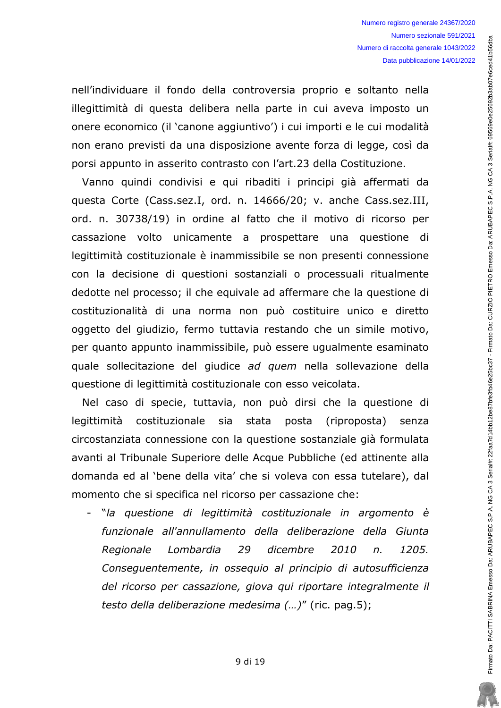nell'individuare il fondo della controversia proprio e soltanto nella illegittimità di questa delibera nella parte in cui aveva imposto un onere economico (il 'canone aggiuntivo') i cui importi e le cui modalità non erano previsti da una disposizione avente forza di legge, così da porsi appunto in asserito contrasto con l'art.23 della Costituzione.

Vanno quindi condivisi e qui ribaditi i principi già affermati da questa Corte (Cass.sez.I, ord. n. 14666/20; v. anche Cass.sez.III, ord. n. 30738/19) in ordine al fatto che il motivo di ricorso per cassazione volto unicamente a prospettare una questione di legittimità costituzionale è inammissibile se non presenti connessione con la decisione di questioni sostanziali o processuali ritualmente dedotte nel processo; il che equivale ad affermare che la questione di costituzionalità di una norma non può costituire unico e diretto oggetto del giudizio, fermo tuttavia restando che un simile motivo, per quanto appunto inammissibile, può essere ugualmente esaminato quale sollecitazione del giudice ad quem nella sollevazione della questione di legittimità costituzionale con esso veicolata.

Nel caso di specie, tuttavia, non può dirsi che la questione di legittimità costituzionale sia stata posta (riproposta) senza circostanziata connessione con la questione sostanziale già formulata avanti al Tribunale Superiore delle Acque Pubbliche (ed attinente alla domanda ed al 'bene della vita' che si voleva con essa tutelare), dal momento che si specifica nel ricorso per cassazione che:

- "la questione di legittimità costituzionale in argomento è funzionale all'annullamento della deliberazione della Giunta Lombardia 29 dicembre Regionale  $2010$  $n_{\cdot}$  $1205.$ Consequentemente, in osseguio al principio di autosufficienza del ricorso per cassazione, giova qui riportare integralmente il testo della deliberazione medesima (...)" (ric. pag.5);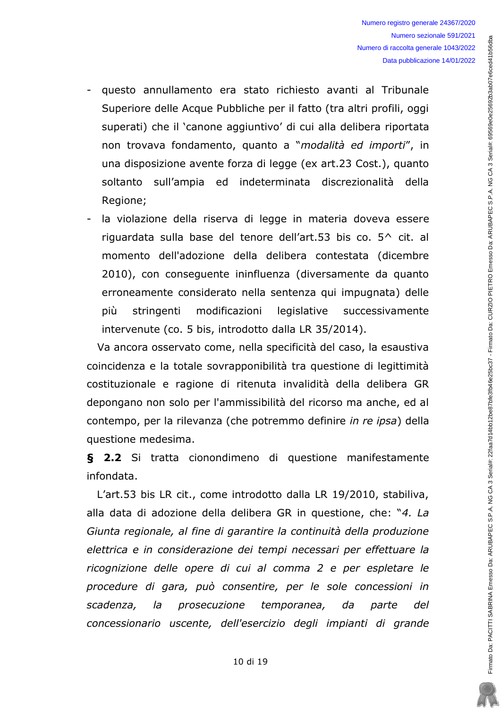- questo annullamento era stato richiesto avanti al Tribunale Superiore delle Acque Pubbliche per il fatto (tra altri profili, oggi superati) che il 'canone aggiuntivo' di cui alla delibera riportata non trovava fondamento, quanto a "modalità ed importi", in una disposizione avente forza di legge (ex art.23 Cost.), quanto soltanto sull'ampia ed indeterminata discrezionalità della Regione;
- la violazione della riserva di legge in materia doveva essere riguardata sulla base del tenore dell'art.53 bis co. 5^ cit. al momento dell'adozione della delibera contestata (dicembre 2010), con conseguente ininfluenza (diversamente da quanto erroneamente considerato nella sentenza qui impugnata) delle modificazioni legislative più stringenti successivamente intervenute (co. 5 bis, introdotto dalla LR 35/2014).

Va ancora osservato come, nella specificità del caso, la esaustiva coincidenza e la totale sovrapponibilità tra questione di legittimità costituzionale e ragione di ritenuta invalidità della delibera GR depongano non solo per l'ammissibilità del ricorso ma anche, ed al contempo, per la rilevanza (che potremmo definire in re ipsa) della questione medesima.

§ 2.2 Si tratta cionondimeno di questione manifestamente infondata.

L'art.53 bis LR cit., come introdotto dalla LR 19/2010, stabiliva, alla data di adozione della delibera GR in questione, che: "4. La Giunta regionale, al fine di garantire la continuità della produzione elettrica e in considerazione dei tempi necessari per effettuare la ricognizione delle opere di cui al comma 2 e per espletare le procedure di gara, può consentire, per le sole concessioni in scadenza,  $l$ a prosecuzione temporanea. da parte  $del$ concessionario uscente, dell'esercizio degli impianti di grande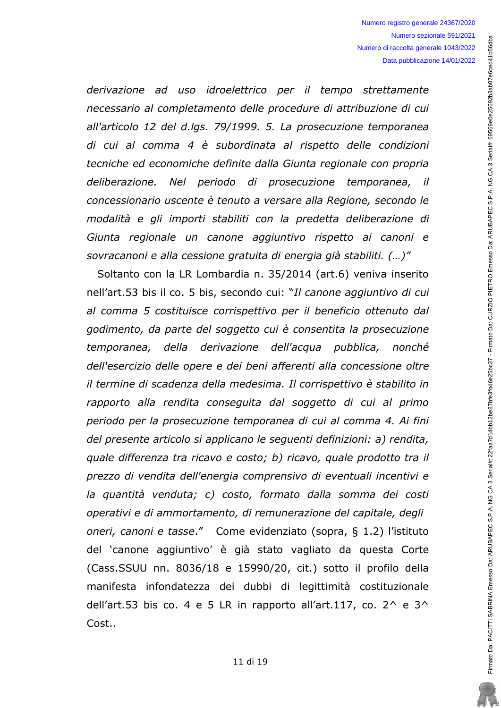derivazione ad uso idroelettrico per il tempo strettamente necessario al completamento delle procedure di attribuzione di cui all'articolo 12 del d.lgs. 79/1999. 5. La prosecuzione temporanea di cui al comma 4 è subordinata al rispetto delle condizioni tecniche ed economiche definite dalla Giunta regionale con propria deliberazione. Nel periodo di prosecuzione temporanea, il concessionario uscente è tenuto a versare alla Regione, secondo le modalità e gli importi stabiliti con la predetta deliberazione di Giunta regionale un canone aggiuntivo rispetto ai canoni e sovracanoni e alla cessione gratuita di energia già stabiliti. (...)"

Soltanto con la LR Lombardia n. 35/2014 (art.6) veniva inserito nell'art.53 bis il co. 5 bis, secondo cui: "Il canone aggiuntivo di cui al comma 5 costituisce corrispettivo per il beneficio ottenuto dal godimento, da parte del soggetto cui è consentita la prosecuzione temporanea, della derivazione dell'acqua pubblica, nonché dell'esercizio delle opere e dei beni afferenti alla concessione oltre il termine di scadenza della medesima. Il corrispettivo è stabilito in rapporto alla rendita conseguita dal soggetto di cui al primo periodo per la prosecuzione temporanea di cui al comma 4. Ai fini del presente articolo si applicano le seguenti definizioni: a) rendita, quale differenza tra ricavo e costo; b) ricavo, quale prodotto tra il prezzo di vendita dell'energia comprensivo di eventuali incentivi e la quantità venduta; c) costo, formato dalla somma dei costi operativi e di ammortamento, di remunerazione del capitale, degli oneri, canoni e tasse." Come evidenziato (sopra, § 1.2) l'istituto del 'canone aggiuntivo' è già stato vagliato da questa Corte (Cass.SSUU nn. 8036/18 e 15990/20, cit.) sotto il profilo della manifesta infondatezza dei dubbi di legittimità costituzionale dell'art.53 bis co. 4 e 5 LR in rapporto all'art.117, co.  $2^6$  e  $3^6$ Cost..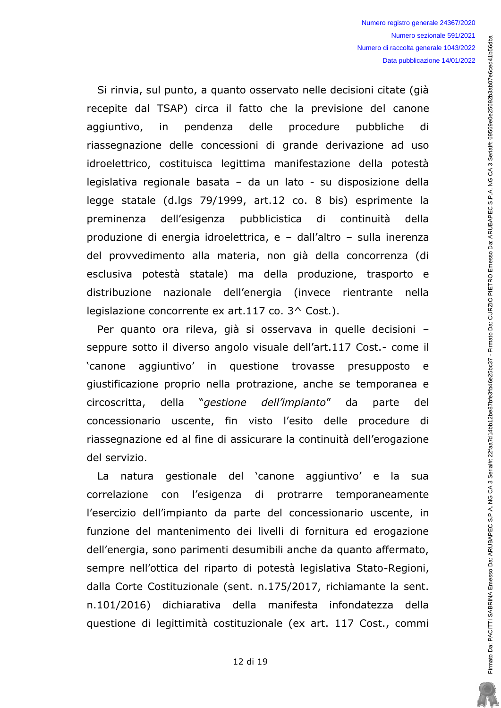Si rinvia, sul punto, a quanto osservato nelle decisioni citate (già recepite dal TSAP) circa il fatto che la previsione del canone aggiuntivo. in pendenza delle procedure pubbliche di riassegnazione delle concessioni di grande derivazione ad uso idroelettrico, costituisca legittima manifestazione della potestà legislativa regionale basata - da un lato - su disposizione della legge statale (d.lgs 79/1999, art.12 co. 8 bis) esprimente la dell'esigenza pubblicistica preminenza di continuità della produzione di energia idroelettrica, e - dall'altro - sulla inerenza del provvedimento alla materia, non già della concorrenza (di esclusiva potestà statale) ma della produzione, trasporto e distribuzione nazionale dell'energia (invece rientrante nella legislazione concorrente ex art.117 co. 3^ Cost.).

Per quanto ora rileva, già si osservava in quelle decisioni seppure sotto il diverso angolo visuale dell'art.117 Cost.- come il 'canone aggiuntivo' in questione trovasse presupposto e giustificazione proprio nella protrazione, anche se temporanea e *eestione* " dell'impianto" circoscritta, della da parte del concessionario uscente, fin visto l'esito delle procedure di riassegnazione ed al fine di assicurare la continuità dell'erogazione del servizio.

gestionale del 'canone aggiuntivo' e la La natura sua correlazione con l'esigenza di protrarre temporaneamente l'esercizio dell'impianto da parte del concessionario uscente, in funzione del mantenimento dei livelli di fornitura ed erogazione dell'energia, sono parimenti desumibili anche da quanto affermato, sempre nell'ottica del riparto di potestà legislativa Stato-Regioni, dalla Corte Costituzionale (sent. n.175/2017, richiamante la sent. n.101/2016) dichiarativa della manifesta infondatezza della questione di legittimità costituzionale (ex art. 117 Cost., commi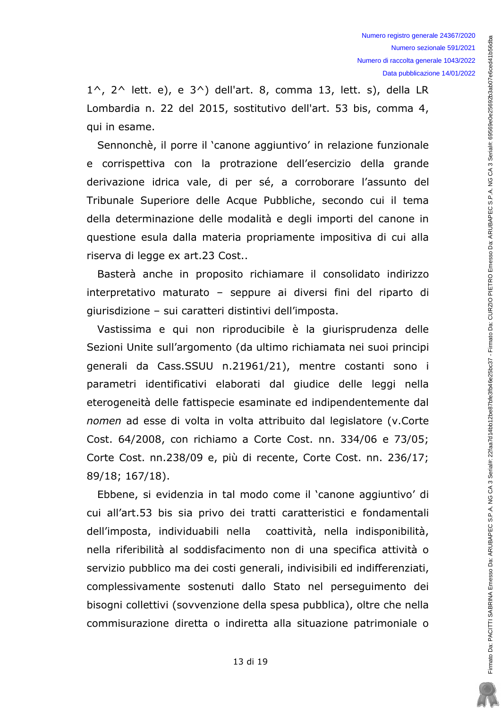$1^{\wedge}$ ,  $2^{\wedge}$  lett. e), e  $3^{\wedge}$ ) dell'art. 8, comma 13, lett. s), della LR Lombardia n. 22 del 2015, sostitutivo dell'art. 53 bis, comma 4, qui in esame.

Sennonchè, il porre il 'canone aggiuntivo' in relazione funzionale e corrispettiva con la protrazione dell'esercizio della grande derivazione idrica vale, di per sé, a corroborare l'assunto del Tribunale Superiore delle Acque Pubbliche, secondo cui il tema della determinazione delle modalità e degli importi del canone in questione esula dalla materia propriamente impositiva di cui alla riserva di legge ex art.23 Cost..

Basterà anche in proposito richiamare il consolidato indirizzo interpretativo maturato - seppure ai diversi fini del riparto di giurisdizione - sui caratteri distintivi dell'imposta.

Vastissima e qui non riproducibile è la giurisprudenza delle Sezioni Unite sull'argomento (da ultimo richiamata nei suoi principi generali da Cass.SSUU n.21961/21), mentre costanti sono i parametri identificativi elaborati dal giudice delle leggi nella eterogeneità delle fattispecie esaminate ed indipendentemente dal nomen ad esse di volta in volta attribuito dal legislatore (v.Corte Cost. 64/2008, con richiamo a Corte Cost. nn. 334/06 e 73/05; Corte Cost. nn.238/09 e, più di recente, Corte Cost. nn. 236/17; 89/18; 167/18).

Ebbene, si evidenzia in tal modo come il 'canone aggiuntivo' di cui all'art.53 bis sia privo dei tratti caratteristici e fondamentali dell'imposta, individuabili nella coattività, nella indisponibilità, nella riferibilità al soddisfacimento non di una specifica attività o servizio pubblico ma dei costi generali, indivisibili ed indifferenziati, complessivamente sostenuti dallo Stato nel perseguimento dei bisogni collettivi (sovvenzione della spesa pubblica), oltre che nella commisurazione diretta o indiretta alla situazione patrimoniale o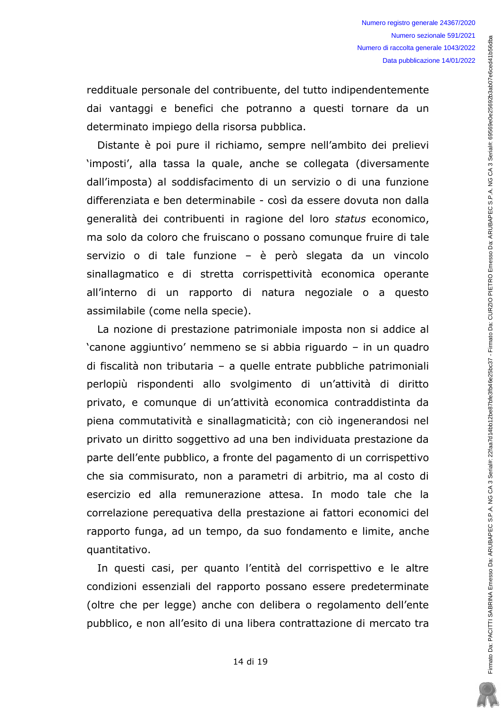reddituale personale del contribuente, del tutto indipendentemente dai vantaggi e benefici che potranno a questi tornare da un determinato impiego della risorsa pubblica.

Distante è poi pure il richiamo, sempre nell'ambito dei prelievi 'imposti', alla tassa la quale, anche se collegata (diversamente dall'imposta) al soddisfacimento di un servizio o di una funzione differenziata e ben determinabile - così da essere dovuta non dalla generalità dei contribuenti in ragione del loro status economico, ma solo da coloro che fruiscano o possano comunque fruire di tale servizio o di tale funzione - è però slegata da un vincolo sinallagmatico e di stretta corrispettività economica operante all'interno di un rapporto di natura negoziale o a questo assimilabile (come nella specie).

La nozione di prestazione patrimoniale imposta non si addice al 'canone aggiuntivo' nemmeno se si abbia riguardo - in un guadro di fiscalità non tributaria - a quelle entrate pubbliche patrimoniali perlopiù rispondenti allo svolgimento di un'attività di diritto privato, e comunque di un'attività economica contraddistinta da piena commutatività e sinallagmaticità; con ciò ingenerandosi nel privato un diritto soggettivo ad una ben individuata prestazione da parte dell'ente pubblico, a fronte del pagamento di un corrispettivo che sia commisurato, non a parametri di arbitrio, ma al costo di esercizio ed alla remunerazione attesa. In modo tale che la correlazione pereguativa della prestazione ai fattori economici del rapporto funga, ad un tempo, da suo fondamento e limite, anche quantitativo.

In questi casi, per quanto l'entità del corrispettivo e le altre condizioni essenziali del rapporto possano essere predeterminate (oltre che per legge) anche con delibera o regolamento dell'ente pubblico, e non all'esito di una libera contrattazione di mercato tra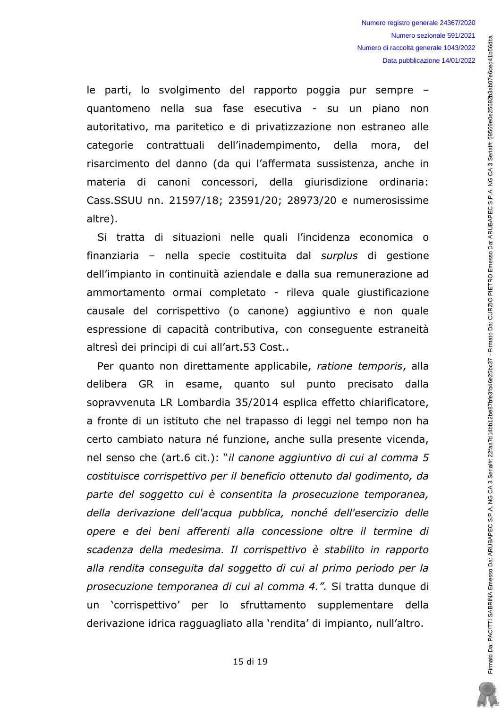le parti, lo svolgimento del rapporto poggia pur sempre guantomeno nella sua fase esecutiva - su un piano non autoritativo, ma paritetico e di privatizzazione non estraneo alle categorie contrattuali dell'inadempimento, della mora, del risarcimento del danno (da qui l'affermata sussistenza, anche in materia di canoni concessori, della giurisdizione ordinaria: Cass.SSUU nn. 21597/18; 23591/20; 28973/20 e numerosissime altre).

Si tratta di situazioni nelle quali l'incidenza economica o finanziaria - nella specie costituita dal surplus di gestione dell'impianto in continuità aziendale e dalla sua remunerazione ad ammortamento ormai completato - rileva quale giustificazione causale del corrispettivo (o canone) aggiuntivo e non quale espressione di capacità contributiva, con consequente estraneità altresì dei principi di cui all'art.53 Cost..

Per quanto non direttamente applicabile, ratione temporis, alla delibera GR in esame, quanto sul punto precisato dalla sopravvenuta LR Lombardia 35/2014 esplica effetto chiarificatore, a fronte di un istituto che nel trapasso di leggi nel tempo non ha certo cambiato natura né funzione, anche sulla presente vicenda, nel senso che (art.6 cit.): "il canone aggiuntivo di cui al comma 5 costituisce corrispettivo per il beneficio ottenuto dal godimento, da parte del soggetto cui è consentita la prosecuzione temporanea, della derivazione dell'acqua pubblica, nonché dell'esercizio delle opere e dei beni afferenti alla concessione oltre il termine di scadenza della medesima. Il corrispettivo è stabilito in rapporto alla rendita conseguita dal soggetto di cui al primo periodo per la prosecuzione temporanea di cui al comma 4.". Si tratta dunque di un 'corrispettivo' per lo sfruttamento supplementare della derivazione idrica ragguagliato alla 'rendita' di impianto, null'altro.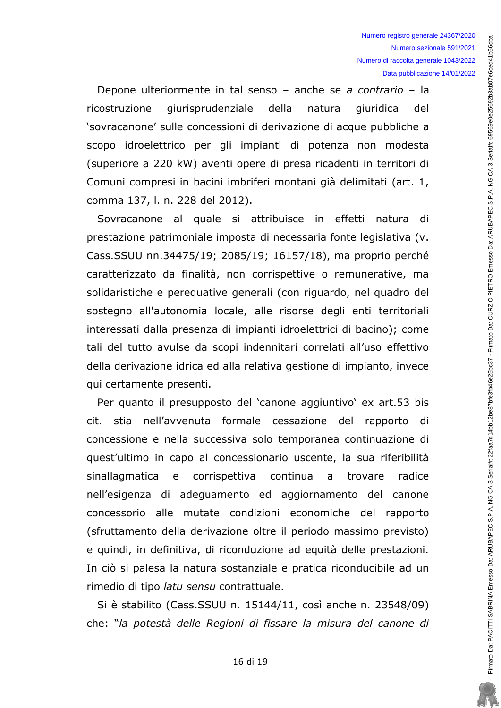Firmato Da: PACITTI SABRINA Ernesso Da: ARUBAPEC S.P.A. NG CA 3 Serial#: 22faa7d14bb12be87bfe3fb637 - Firmato Da: CURZIO PIETRO Ernesso Da: ARUBAPEC S.P.A. NG CA 3 Serial#: 69569e0e25692b3ab07e6ced41b56dbs

Depone ulteriormente in tal senso - anche se a contrario - la giurisprudenziale ricostruzione della natura giuridica del 'sovracanone' sulle concessioni di derivazione di acque pubbliche a scopo idroelettrico per gli impianti di potenza non modesta (superiore a 220 kW) aventi opere di presa ricadenti in territori di Comuni compresi in bacini imbriferi montani già delimitati (art. 1, comma 137, l. n. 228 del 2012).

Sovracanone al quale si attribuisce in effetti natura di prestazione patrimoniale imposta di necessaria fonte legislativa (v. Cass.SSUU nn.34475/19; 2085/19; 16157/18), ma proprio perché caratterizzato da finalità, non corrispettive o remunerative, ma solidaristiche e pereguative generali (con riguardo, nel quadro del sostegno all'autonomia locale, alle risorse degli enti territoriali interessati dalla presenza di impianti idroelettrici di bacino); come tali del tutto avulse da scopi indennitari correlati all'uso effettivo della derivazione idrica ed alla relativa gestione di impianto, invece qui certamente presenti.

Per quanto il presupposto del 'canone aggiuntivo' ex art.53 bis cit. stia nell'avvenuta formale cessazione del rapporto di concessione e nella successiva solo temporanea continuazione di quest'ultimo in capo al concessionario uscente, la sua riferibilità sinallagmatica e corrispettiva continua a trovare radice nell'esigenza di adequamento ed aggiornamento del canone concessorio alle mutate condizioni economiche del rapporto (sfruttamento della derivazione oltre il periodo massimo previsto) e quindi, in definitiva, di riconduzione ad equità delle prestazioni. In ciò si palesa la natura sostanziale e pratica riconducibile ad un rimedio di tipo latu sensu contrattuale.

Si è stabilito (Cass.SSUU n. 15144/11, così anche n. 23548/09) che: "la potestà delle Regioni di fissare la misura del canone di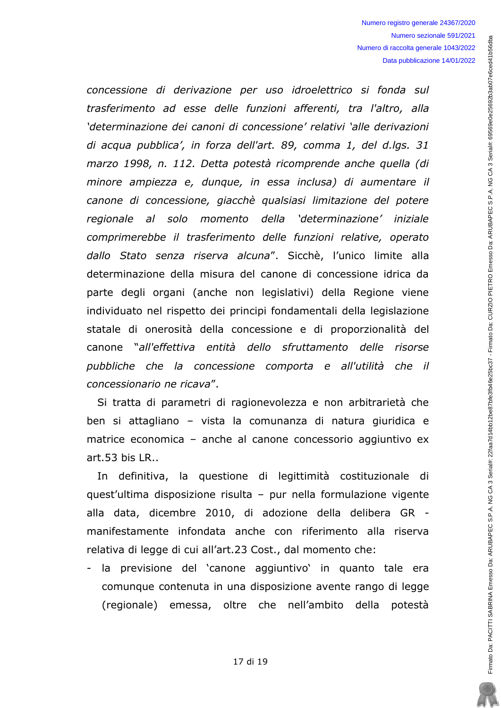concessione di derivazione per uso idroelettrico si fonda sul trasferimento ad esse delle funzioni afferenti, tra l'altro, alla 'determinazione dei canoni di concessione' relativi 'alle derivazioni di acqua pubblica', in forza dell'art. 89, comma 1, del d.lgs. 31 marzo 1998, n. 112. Detta potestà ricomprende anche quella (di minore ampiezza e, dunque, in essa inclusa) di aumentare il canone di concessione, giacchè qualsiasi limitazione del potere regionale al solo momento della 'determinazione' iniziale comprimerebbe il trasferimento delle funzioni relative, operato dallo Stato senza riserva alcuna". Sicchè, l'unico limite alla determinazione della misura del canone di concessione idrica da parte degli organi (anche non legislativi) della Regione viene individuato nel rispetto dei principi fondamentali della legislazione statale di onerosità della concessione e di proporzionalità del canone "all'effettiva entità dello sfruttamento delle risorse pubbliche che la concessione comporta e all'utilità che il concessionario ne ricava".

Si tratta di parametri di ragionevolezza e non arbitrarietà che ben si attagliano - vista la comunanza di natura giuridica e matrice economica - anche al canone concessorio aggiuntivo ex  $art.53$  his  $IR.$ .

In definitiva, la questione di legittimità costituzionale di quest'ultima disposizione risulta - pur nella formulazione vigente alla data, dicembre 2010, di adozione della delibera GR manifestamente infondata anche con riferimento alla riserva relativa di legge di cui all'art.23 Cost., dal momento che:

- la previsione del 'canone aggiuntivo' in quanto tale era comunque contenuta in una disposizione avente rango di legge (regionale) emessa, oltre che nell'ambito della potestà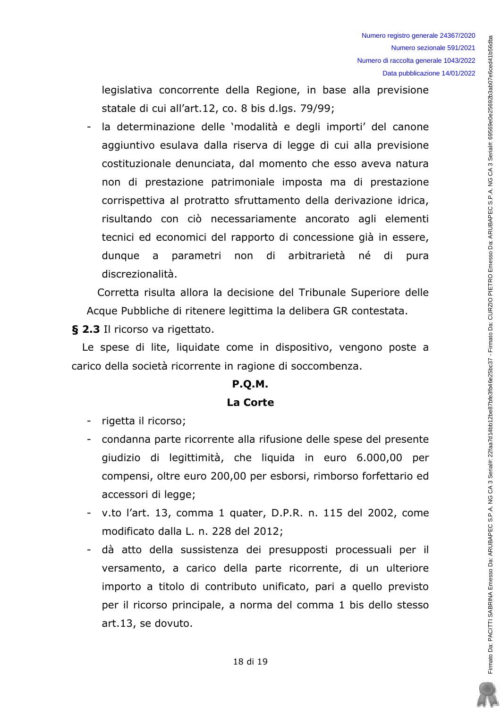legislativa concorrente della Regione, in base alla previsione statale di cui all'art.12, co. 8 bis d.lgs. 79/99;

la determinazione delle 'modalità e degli importi' del canone aggiuntivo esulava dalla riserva di legge di cui alla previsione costituzionale denunciata, dal momento che esso aveva natura non di prestazione patrimoniale imposta ma di prestazione corrispettiva al protratto sfruttamento della derivazione idrica, risultando con ciò necessariamente ancorato agli elementi tecnici ed economici del rapporto di concessione già in essere, dunque a parametri non di arbitrarietà né di pura discrezionalità.

Corretta risulta allora la decisione del Tribunale Superiore delle Acque Pubbliche di ritenere legittima la delibera GR contestata.

§ 2.3 Il ricorso va rigettato.

Le spese di lite, liquidate come in dispositivo, vengono poste a carico della società ricorrente in ragione di soccombenza.

# **P.O.M.** La Corte

- rigetta il ricorso;
- condanna parte ricorrente alla rifusione delle spese del presente giudizio di legittimità, che liguida in euro 6.000,00 per compensi, oltre euro 200,00 per esborsi, rimborso forfettario ed accessori di legge;
- v.to l'art. 13, comma 1 quater, D.P.R. n. 115 del 2002, come modificato dalla L. n. 228 del 2012;
- dà atto della sussistenza dei presupposti processuali per il versamento, a carico della parte ricorrente, di un ulteriore importo a titolo di contributo unificato, pari a quello previsto per il ricorso principale, a norma del comma 1 bis dello stesso art.13, se dovuto.